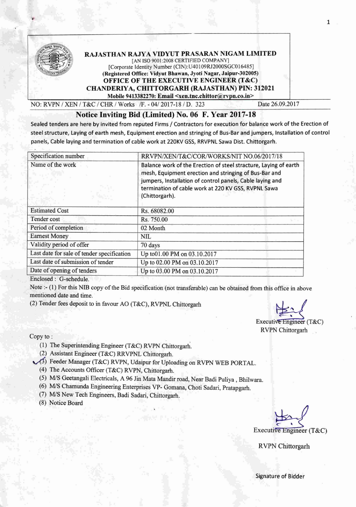

## RAJASTHAN RAJYA VIDYUT PRASARAN NIGAM LIMITED [AN ISO 9001:2008 CERTIFIED COMPANY] [Corporate Identity Number (CIN): U40109RJ2000SGC016485] (Registered Office: Vidyut Bhawan, Jyoti Nagar, Jajpur-302005) OFFICE OF THE EXECUTIVE ENGINEER (T&C) CHANDERIYA, CHITTORGARH (RAJASTHAN) PIN: 312021

Mobile 9413382270: Email <xen.tnc.chittor@rvpn.co.in>

NO: RVPN *<sup>1</sup>*XEN *<sup>I</sup>* T&C *<sup>I</sup>* CHR *<sup>1</sup>*Works *IF. - 04/2017-18* /n <sup>323</sup> Date 26.09.2017

## Notice Inviting Bid (Limited) No. 06 F. Year 2017-18

Sealed tenders are here byinvited from reputed Firms / Contractors for execution for balance work of the Erection of steel structure, Laying of earth mesh, Equipment erection and stringing of Bus-Bar and jumpers, Installation of control panels, Cable laying and termination of cable work at 220KV GSS, RRVPNLSawa Dist. Chittorgarh.

| Specification number<br>RRVPN/XEN/T&C/COR/WORKS/NIT NO.06/2017/18 |                                                                                                                                                                                                                                                                 |  |  |  |  |
|-------------------------------------------------------------------|-----------------------------------------------------------------------------------------------------------------------------------------------------------------------------------------------------------------------------------------------------------------|--|--|--|--|
| Name of the work                                                  | Balance work of the Erection of steel stracture, Laying of earth<br>mesh, Equipment erection and stringing of Bus-Bar and<br>jumpers, Installation of control panels, Cable laying and<br>termination of cable work at 220 KV GSS, RVPNL Sawa<br>(Chittorgarh). |  |  |  |  |
| <b>Estimated Cost</b>                                             | Rs. 68082.00                                                                                                                                                                                                                                                    |  |  |  |  |
| Tender cost                                                       | Rs. 750.00<br>un.                                                                                                                                                                                                                                               |  |  |  |  |
| Period of completion                                              | 02 Month                                                                                                                                                                                                                                                        |  |  |  |  |
| <b>Earnest Money</b>                                              | NIL                                                                                                                                                                                                                                                             |  |  |  |  |
| Validity period of offer                                          | 70 days                                                                                                                                                                                                                                                         |  |  |  |  |
| Last date for sale of tender specification                        | Up to 01.00 PM on 03.10.2017                                                                                                                                                                                                                                    |  |  |  |  |
| Last date of submission of tender                                 | Up to 02.00 PM on 03.10.2017                                                                                                                                                                                                                                    |  |  |  |  |
| Date of opening of tenders                                        | Up to 03.00 PM on 03.10.2017                                                                                                                                                                                                                                    |  |  |  |  |
| $\mathbf{r}$ and $\mathbf{r}$ and $\mathbf{r}$                    |                                                                                                                                                                                                                                                                 |  |  |  |  |

Enclosed: G-schedule.

Note :- (1) For this NIB copy of the Bid specification (not transferable) can be obtained from this office in above mentioned date and time.

(2) Tender fees deposit to in favour AO (T&C), RVPNL Chittorgarh

~ Executive Engineer  $(T&C)$ RVPN Chittorgarh

Copy to: .

- (1) The Superintending Engineer (T&C) RVPN Chittorgarh,
- (2) Assistant Engineer (T&C) RRVPNL Chittorgarh.

(3) Feeder Manager (T&C) RVPN, Udaipur for Uploading on RVPN WEB PORTAL.

- (4) The Accounts Officer (T&C) RVPN, Chittorgarh.
- *(5) MIS* Geetangali Electricals, A 96 Jin Mata Mandir road, Near Badi Puliya , Bhilwata.
- (6) MIS Chamunda Engineering Enterprises VP- Gomana, Choti Sadari, Pratapgarh.
- *(7) MIS* New Tech Engineers, Badi Sadari, Chittorgarh,

(8) Notice Board

*~-y* Executive Engineer (T&C)

RVPN Chittorgarh

1 .

Signature of Bidder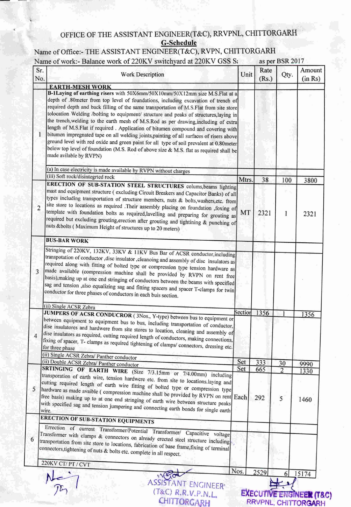## OFFICE OF THE ASSISTANT ENGINEER(T&C), RRVPNL, CHITTORGARH **G-Schedule**

## Name of Office:- THE ASSISTANT ENGINEER(T&C), RVPN, CHITTORGARH Name of work:- Balance work of 220KV switchvard at 220KV GSS S: as ner RSR 2017

|                | IN Altream of Work. Balance work of $220$ N y switchy and $220$ N y $0.55$ Section and $220$ N y $0.55$                                                                                                                                                                                                                                                                                                                                                                                                                                                                                                                                                                                                                                                                                                                                                                 |         |                                                            | as per DOR $2017$    |                   |
|----------------|-------------------------------------------------------------------------------------------------------------------------------------------------------------------------------------------------------------------------------------------------------------------------------------------------------------------------------------------------------------------------------------------------------------------------------------------------------------------------------------------------------------------------------------------------------------------------------------------------------------------------------------------------------------------------------------------------------------------------------------------------------------------------------------------------------------------------------------------------------------------------|---------|------------------------------------------------------------|----------------------|-------------------|
| Sr.<br>No.     | <b>Work Description</b>                                                                                                                                                                                                                                                                                                                                                                                                                                                                                                                                                                                                                                                                                                                                                                                                                                                 | Unit    | Rate<br>(Rs.)                                              | Qty.                 | Amount<br>(in Rs) |
| 1              | <b>EARTH-MESH WORK</b><br>B-1Laying of earthing risers with 50X6mm/50X10mm/50X12mm size M.S.Flat at a<br>depth of .80meter from top level of foundations, including excavation of trench of<br>required depth and back filling of the same transportation of M.S.Flat from site store<br>tolocation Welding /bolting to equipment/ structure and peaks of structures, laying in<br>the trench, welding to the earth mesh of M.S.Rod as per drawing, including of extra<br>length of M.S.Flat if required . Application of bitumen compound and covering with<br>bitumen impregnated tape on all welding joints, painting of all surfaces of risers above<br>ground level with red oxide and green paint for all type of soil prevalent at 0.80meter<br>below top level of foundation (M.S. Rod of above size & M.S. flat as required shall be<br>made avilable by RVPN) |         |                                                            |                      |                   |
|                | (a) In case electricity is made available by RVPN without charges                                                                                                                                                                                                                                                                                                                                                                                                                                                                                                                                                                                                                                                                                                                                                                                                       |         |                                                            |                      |                   |
|                | (iii) Soft rock/disintegrted rock                                                                                                                                                                                                                                                                                                                                                                                                                                                                                                                                                                                                                                                                                                                                                                                                                                       | Mtrs.   | 38                                                         | 100                  | 3800              |
| $\overline{2}$ | ERECTION OF SUB-STATION STEEL STRUCTURES colums, beams lighting<br>mast and equipment structure (excluding Circuit Breakers and Capacitor Banks) of all<br>types including transportation of structure members, nuts & bolts, washers, etc. from<br>site store to locations as required .Their assembly placing on foundation ,foxing of<br>template with foundation bolts as required, lavelling and preparing for grouting as<br>required but excluding grouting, erection after grouting and tightining & punching of<br>nuts & bolts (Maximum Height of structures up to 20 meters)                                                                                                                                                                                                                                                                                 | MT      | 2321                                                       | 1                    | 2321              |
|                | <b>BUS-BAR WORK</b>                                                                                                                                                                                                                                                                                                                                                                                                                                                                                                                                                                                                                                                                                                                                                                                                                                                     |         |                                                            |                      |                   |
| 3              | Stringing of 220KV, 132KV, 33KV & 11KV Bus Bar of ACSR conductor, including<br>transpotation of conductor , disc insulator , cleanoing and assembly of disc insulators as<br>required along with fitting of bolted type or compression type tension hardware as<br>made available (compression machine shall be provided by RVPN on rent free<br>basis), making up at one end stringing of conductors between the beams with specified<br>sag and tension ,also equalizing sag and fitting spacers and spacer T-clamps for twin<br>conductor for three phases of conductors in each buis section.                                                                                                                                                                                                                                                                       |         |                                                            |                      |                   |
|                | (ii) Single ACSR Zebra                                                                                                                                                                                                                                                                                                                                                                                                                                                                                                                                                                                                                                                                                                                                                                                                                                                  | Section | 1356                                                       |                      |                   |
| 4              | JUMPERS OF ACSR CONDUCROR (3Nos., Y-type) between bus to equipment or<br>between equipment to equipment bus to bus, including transportation of conductor,<br>dise insulatores and hardwere from site stores to location, cleaning and assembly of<br>dise insulators as required, cutting required length of conductors, making connections,<br>fixing of spacer, T- clamps as required tightening of clamps/ connectors, dressing etc.<br>for three phase<br>(ii) Single ACSR Zebra/ Panther conductor                                                                                                                                                                                                                                                                                                                                                                | Set     | 333                                                        |                      | 1356              |
|                | (ii) Double ACSR Zebra/ Panther conductor                                                                                                                                                                                                                                                                                                                                                                                                                                                                                                                                                                                                                                                                                                                                                                                                                               | Set     | 665                                                        | 30<br>$\overline{2}$ | 9990              |
| 5              | SRTINGING OF EARTH WIRE (Size 7/3.15mm or 7/4.00mm) including<br>transporation of earth wire, tension hardwere etc. from site to locations.laying and<br>cutting required length of earth wire fitting of bolted type or compression type<br>hardware as made avaible (compression machine shall be provided by RVPN on rent Each<br>free basis) making up to at one end stringing of earth wire between structure peaks<br>with specified sag and tension jumpering and connecting earth bonds for single earth                                                                                                                                                                                                                                                                                                                                                        |         | 292                                                        | 5                    | 1330<br>1460      |
|                | <b>ERECTION OF SUB-STATION EQUIPMENTS</b>                                                                                                                                                                                                                                                                                                                                                                                                                                                                                                                                                                                                                                                                                                                                                                                                                               |         |                                                            |                      |                   |
|                | Errection of current Transformer/Potential Transformer/ Capacitive voltage<br>Transformer with clamps & connectors on already erected steel structure including<br>transportation from site store to locations, fabrication of base frame, fixing of terminal<br>connectors, tightening of nuts & bolts etc. complete in all respect.<br>220KV CT/PT/CVT                                                                                                                                                                                                                                                                                                                                                                                                                                                                                                                |         |                                                            |                      |                   |
|                |                                                                                                                                                                                                                                                                                                                                                                                                                                                                                                                                                                                                                                                                                                                                                                                                                                                                         | Nos.    | 2529                                                       |                      |                   |
|                | <b>ASSISTANT ENGINEER'</b><br>(T&C) R.R.V.P.N.L.<br>CHITTORGARH                                                                                                                                                                                                                                                                                                                                                                                                                                                                                                                                                                                                                                                                                                                                                                                                         |         | <b>EXECUTIVE ENGINEER (T&amp;C)</b><br>RRVPNL, CHITTORGARH | 6                    | 15174             |